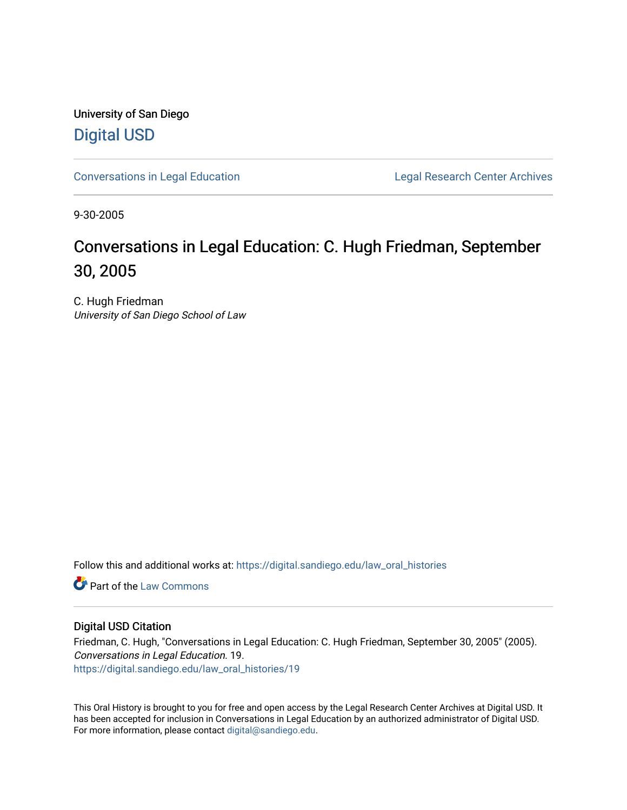University of San Diego [Digital USD](https://digital.sandiego.edu/)

[Conversations in Legal Education](https://digital.sandiego.edu/law_oral_histories) **Legal Research Center Archives** 

9-30-2005

# Conversations in Legal Education: C. Hugh Friedman, September 30, 2005

C. Hugh Friedman University of San Diego School of Law

Follow this and additional works at: [https://digital.sandiego.edu/law\\_oral\\_histories](https://digital.sandiego.edu/law_oral_histories?utm_source=digital.sandiego.edu%2Flaw_oral_histories%2F19&utm_medium=PDF&utm_campaign=PDFCoverPages) 

**C** Part of the [Law Commons](http://network.bepress.com/hgg/discipline/578?utm_source=digital.sandiego.edu%2Flaw_oral_histories%2F19&utm_medium=PDF&utm_campaign=PDFCoverPages)

#### Digital USD Citation

Friedman, C. Hugh, "Conversations in Legal Education: C. Hugh Friedman, September 30, 2005" (2005). Conversations in Legal Education. 19. [https://digital.sandiego.edu/law\\_oral\\_histories/19](https://digital.sandiego.edu/law_oral_histories/19?utm_source=digital.sandiego.edu%2Flaw_oral_histories%2F19&utm_medium=PDF&utm_campaign=PDFCoverPages) 

This Oral History is brought to you for free and open access by the Legal Research Center Archives at Digital USD. It has been accepted for inclusion in Conversations in Legal Education by an authorized administrator of Digital USD. For more information, please contact [digital@sandiego.edu](mailto:digital@sandiego.edu).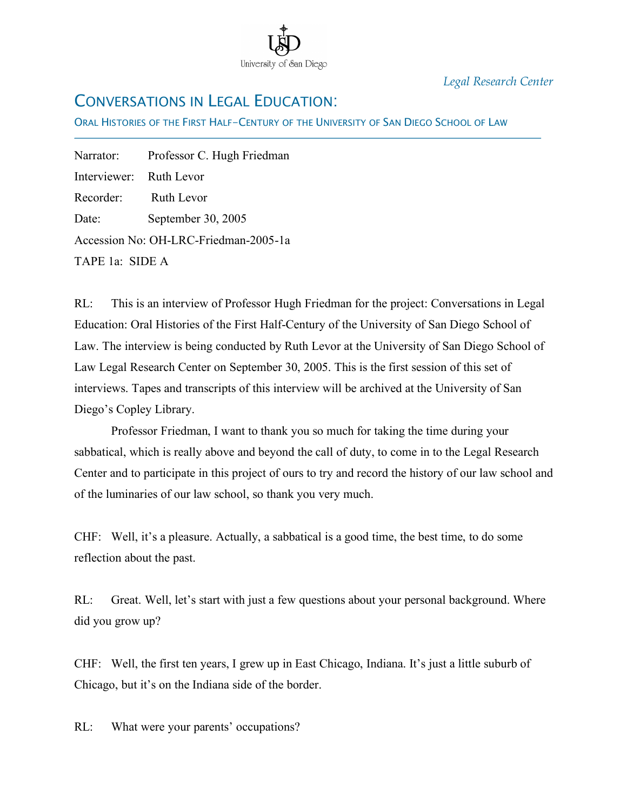

*Legal Research Center*

## CONVERSATIONS IN LEGAL EDUCATION:

ORAL HISTORIES OF THE FIRST HALF-CENTURY OF THE UNIVERSITY OF SAN DIEGO SCHOOL OF LAW

Narrator: Professor C. Hugh Friedman Interviewer: Ruth Levor Recorder: Ruth Levor Date: September 30, 2005 Accession No: OH-LRC-Friedman-2005-1a TAPE 1a: SIDE A

İ

RL: This is an interview of Professor Hugh Friedman for the project: Conversations in Legal Education: Oral Histories of the First Half-Century of the University of San Diego School of Law. The interview is being conducted by Ruth Levor at the University of San Diego School of Law Legal Research Center on September 30, 2005. This is the first session of this set of interviews. Tapes and transcripts of this interview will be archived at the University of San Diego's Copley Library.

Professor Friedman, I want to thank you so much for taking the time during your sabbatical, which is really above and beyond the call of duty, to come in to the Legal Research Center and to participate in this project of ours to try and record the history of our law school and of the luminaries of our law school, so thank you very much.

CHF: Well, it's a pleasure. Actually, a sabbatical is a good time, the best time, to do some reflection about the past.

RL: Great. Well, let's start with just a few questions about your personal background. Where did you grow up?

CHF: Well, the first ten years, I grew up in East Chicago, Indiana. It's just a little suburb of Chicago, but it's on the Indiana side of the border.

RL: What were your parents' occupations?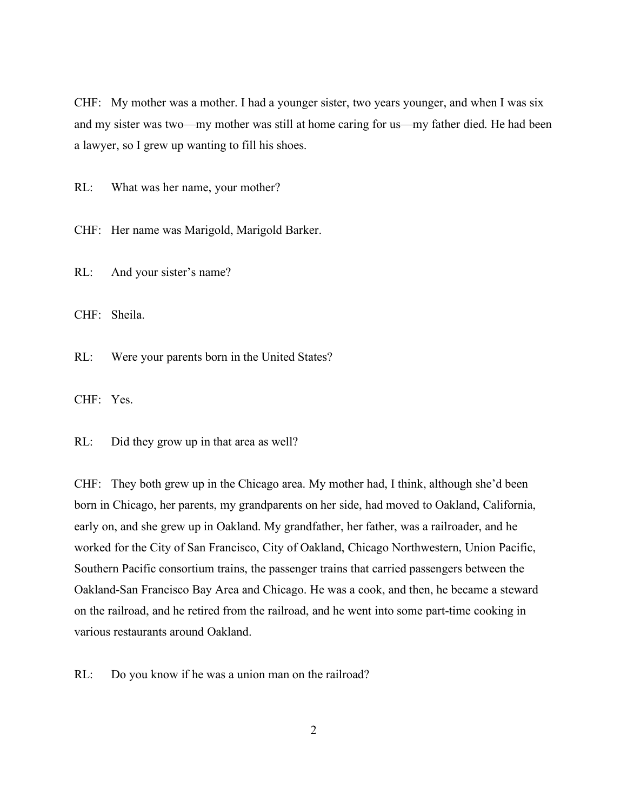CHF: My mother was a mother. I had a younger sister, two years younger, and when I was six and my sister was two—my mother was still at home caring for us—my father died. He had been a lawyer, so I grew up wanting to fill his shoes.

RL: What was her name, your mother?

CHF: Her name was Marigold, Marigold Barker.

RL: And your sister's name?

CHF: Sheila.

RL: Were your parents born in the United States?

CHF: Yes.

RL: Did they grow up in that area as well?

CHF: They both grew up in the Chicago area. My mother had, I think, although she'd been born in Chicago, her parents, my grandparents on her side, had moved to Oakland, California, early on, and she grew up in Oakland. My grandfather, her father, was a railroader, and he worked for the City of San Francisco, City of Oakland, Chicago Northwestern, Union Pacific, Southern Pacific consortium trains, the passenger trains that carried passengers between the Oakland-San Francisco Bay Area and Chicago. He was a cook, and then, he became a steward on the railroad, and he retired from the railroad, and he went into some part-time cooking in various restaurants around Oakland.

RL: Do you know if he was a union man on the railroad?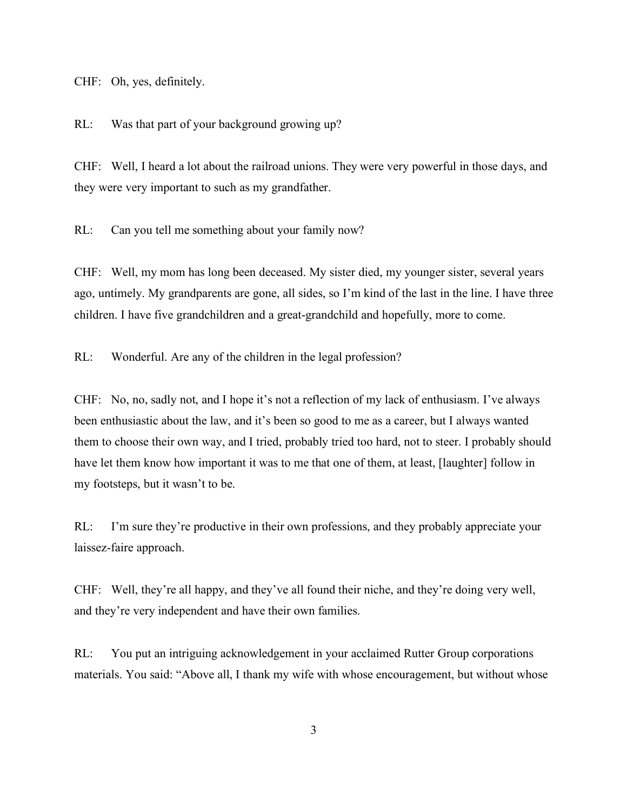CHF: Oh, yes, definitely.

RL: Was that part of your background growing up?

CHF: Well, I heard a lot about the railroad unions. They were very powerful in those days, and they were very important to such as my grandfather.

RL: Can you tell me something about your family now?

CHF: Well, my mom has long been deceased. My sister died, my younger sister, several years ago, untimely. My grandparents are gone, all sides, so I'm kind of the last in the line. I have three children. I have five grandchildren and a great-grandchild and hopefully, more to come.

RL: Wonderful. Are any of the children in the legal profession?

CHF: No, no, sadly not, and I hope it's not a reflection of my lack of enthusiasm. I've always been enthusiastic about the law, and it's been so good to me as a career, but I always wanted them to choose their own way, and I tried, probably tried too hard, not to steer. I probably should have let them know how important it was to me that one of them, at least, [laughter] follow in my footsteps, but it wasn't to be.

RL: I'm sure they're productive in their own professions, and they probably appreciate your laissez-faire approach.

CHF: Well, they're all happy, and they've all found their niche, and they're doing very well, and they're very independent and have their own families.

RL: You put an intriguing acknowledgement in your acclaimed Rutter Group corporations materials. You said: "Above all, I thank my wife with whose encouragement, but without whose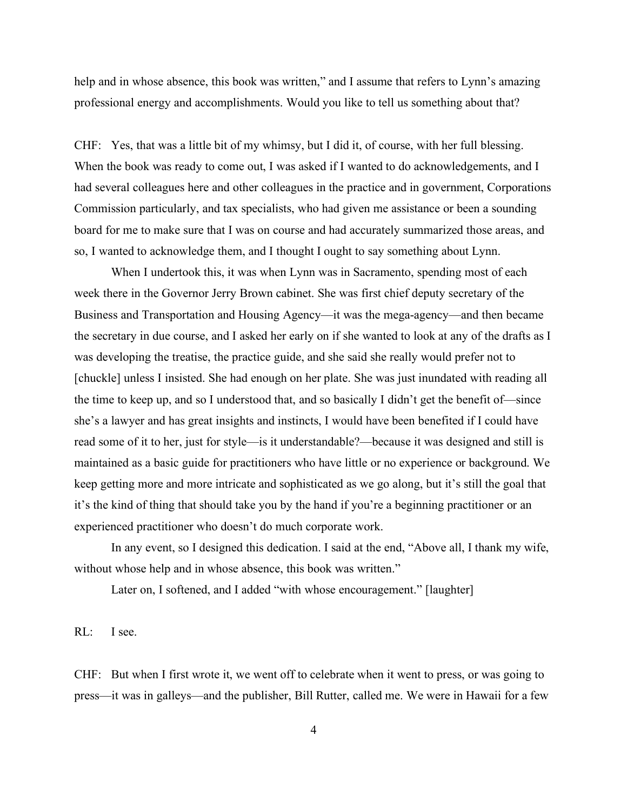help and in whose absence, this book was written," and I assume that refers to Lynn's amazing professional energy and accomplishments. Would you like to tell us something about that?

CHF: Yes, that was a little bit of my whimsy, but I did it, of course, with her full blessing. When the book was ready to come out, I was asked if I wanted to do acknowledgements, and I had several colleagues here and other colleagues in the practice and in government, Corporations Commission particularly, and tax specialists, who had given me assistance or been a sounding board for me to make sure that I was on course and had accurately summarized those areas, and so, I wanted to acknowledge them, and I thought I ought to say something about Lynn.

When I undertook this, it was when Lynn was in Sacramento, spending most of each week there in the Governor Jerry Brown cabinet. She was first chief deputy secretary of the Business and Transportation and Housing Agency—it was the mega-agency—and then became the secretary in due course, and I asked her early on if she wanted to look at any of the drafts as I was developing the treatise, the practice guide, and she said she really would prefer not to [chuckle] unless I insisted. She had enough on her plate. She was just inundated with reading all the time to keep up, and so I understood that, and so basically I didn't get the benefit of—since she's a lawyer and has great insights and instincts, I would have been benefited if I could have read some of it to her, just for style—is it understandable?—because it was designed and still is maintained as a basic guide for practitioners who have little or no experience or background. We keep getting more and more intricate and sophisticated as we go along, but it's still the goal that it's the kind of thing that should take you by the hand if you're a beginning practitioner or an experienced practitioner who doesn't do much corporate work.

In any event, so I designed this dedication. I said at the end, "Above all, I thank my wife, without whose help and in whose absence, this book was written."

Later on, I softened, and I added "with whose encouragement." [laughter]

RL: I see.

CHF: But when I first wrote it, we went off to celebrate when it went to press, or was going to press—it was in galleys—and the publisher, Bill Rutter, called me. We were in Hawaii for a few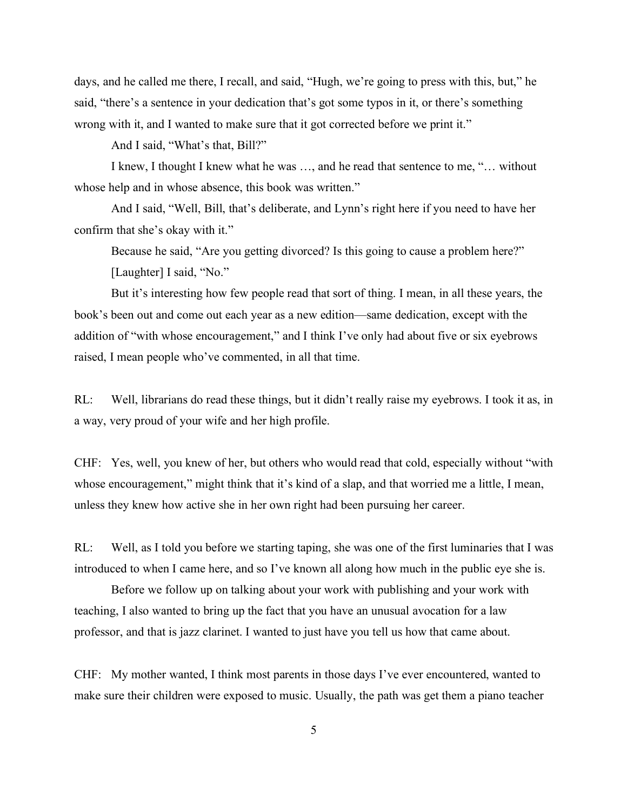days, and he called me there, I recall, and said, "Hugh, we're going to press with this, but," he said, "there's a sentence in your dedication that's got some typos in it, or there's something wrong with it, and I wanted to make sure that it got corrected before we print it."

And I said, "What's that, Bill?"

I knew, I thought I knew what he was …, and he read that sentence to me, "… without whose help and in whose absence, this book was written."

And I said, "Well, Bill, that's deliberate, and Lynn's right here if you need to have her confirm that she's okay with it."

Because he said, "Are you getting divorced? Is this going to cause a problem here?" [Laughter] I said, "No."

But it's interesting how few people read that sort of thing. I mean, in all these years, the book's been out and come out each year as a new edition—same dedication, except with the addition of "with whose encouragement," and I think I've only had about five or six eyebrows raised, I mean people who've commented, in all that time.

RL: Well, librarians do read these things, but it didn't really raise my eyebrows. I took it as, in a way, very proud of your wife and her high profile.

CHF: Yes, well, you knew of her, but others who would read that cold, especially without "with whose encouragement," might think that it's kind of a slap, and that worried me a little, I mean, unless they knew how active she in her own right had been pursuing her career.

RL: Well, as I told you before we starting taping, she was one of the first luminaries that I was introduced to when I came here, and so I've known all along how much in the public eye she is.

Before we follow up on talking about your work with publishing and your work with teaching, I also wanted to bring up the fact that you have an unusual avocation for a law professor, and that is jazz clarinet. I wanted to just have you tell us how that came about.

CHF: My mother wanted, I think most parents in those days I've ever encountered, wanted to make sure their children were exposed to music. Usually, the path was get them a piano teacher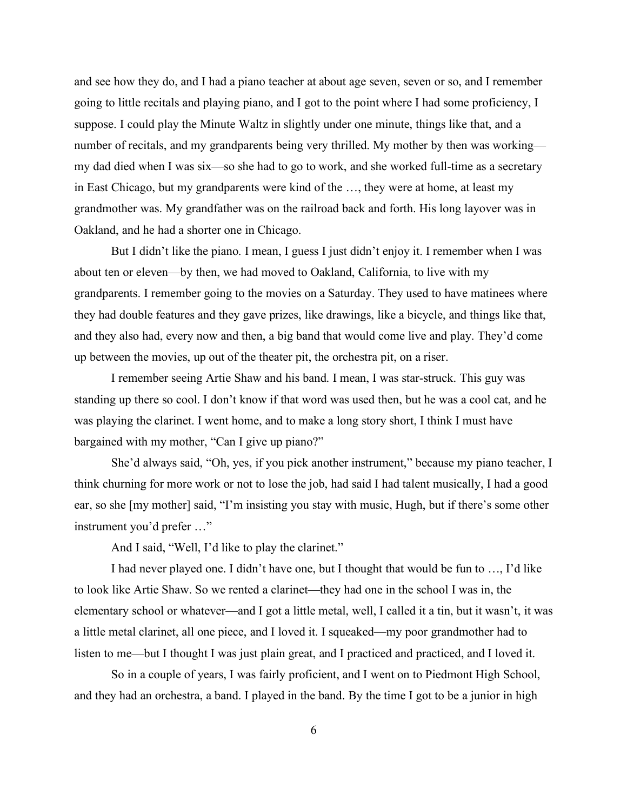and see how they do, and I had a piano teacher at about age seven, seven or so, and I remember going to little recitals and playing piano, and I got to the point where I had some proficiency, I suppose. I could play the Minute Waltz in slightly under one minute, things like that, and a number of recitals, and my grandparents being very thrilled. My mother by then was working my dad died when I was six—so she had to go to work, and she worked full-time as a secretary in East Chicago, but my grandparents were kind of the …, they were at home, at least my grandmother was. My grandfather was on the railroad back and forth. His long layover was in Oakland, and he had a shorter one in Chicago.

But I didn't like the piano. I mean, I guess I just didn't enjoy it. I remember when I was about ten or eleven—by then, we had moved to Oakland, California, to live with my grandparents. I remember going to the movies on a Saturday. They used to have matinees where they had double features and they gave prizes, like drawings, like a bicycle, and things like that, and they also had, every now and then, a big band that would come live and play. They'd come up between the movies, up out of the theater pit, the orchestra pit, on a riser.

I remember seeing Artie Shaw and his band. I mean, I was star-struck. This guy was standing up there so cool. I don't know if that word was used then, but he was a cool cat, and he was playing the clarinet. I went home, and to make a long story short, I think I must have bargained with my mother, "Can I give up piano?"

She'd always said, "Oh, yes, if you pick another instrument," because my piano teacher, I think churning for more work or not to lose the job, had said I had talent musically, I had a good ear, so she [my mother] said, "I'm insisting you stay with music, Hugh, but if there's some other instrument you'd prefer …"

And I said, "Well, I'd like to play the clarinet."

I had never played one. I didn't have one, but I thought that would be fun to …, I'd like to look like Artie Shaw. So we rented a clarinet—they had one in the school I was in, the elementary school or whatever—and I got a little metal, well, I called it a tin, but it wasn't, it was a little metal clarinet, all one piece, and I loved it. I squeaked—my poor grandmother had to listen to me—but I thought I was just plain great, and I practiced and practiced, and I loved it.

So in a couple of years, I was fairly proficient, and I went on to Piedmont High School, and they had an orchestra, a band. I played in the band. By the time I got to be a junior in high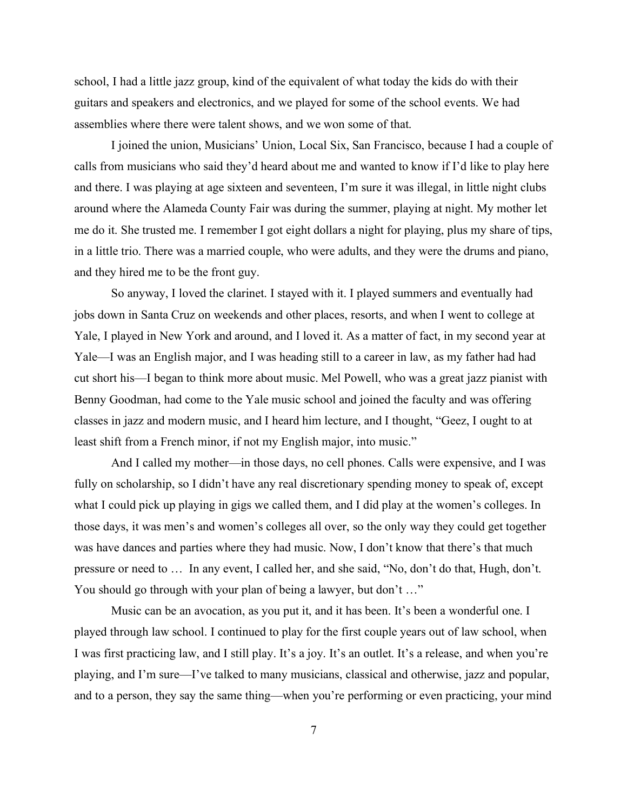school, I had a little jazz group, kind of the equivalent of what today the kids do with their guitars and speakers and electronics, and we played for some of the school events. We had assemblies where there were talent shows, and we won some of that.

I joined the union, Musicians' Union, Local Six, San Francisco, because I had a couple of calls from musicians who said they'd heard about me and wanted to know if I'd like to play here and there. I was playing at age sixteen and seventeen, I'm sure it was illegal, in little night clubs around where the Alameda County Fair was during the summer, playing at night. My mother let me do it. She trusted me. I remember I got eight dollars a night for playing, plus my share of tips, in a little trio. There was a married couple, who were adults, and they were the drums and piano, and they hired me to be the front guy.

So anyway, I loved the clarinet. I stayed with it. I played summers and eventually had jobs down in Santa Cruz on weekends and other places, resorts, and when I went to college at Yale, I played in New York and around, and I loved it. As a matter of fact, in my second year at Yale—I was an English major, and I was heading still to a career in law, as my father had had cut short his—I began to think more about music. Mel Powell, who was a great jazz pianist with Benny Goodman, had come to the Yale music school and joined the faculty and was offering classes in jazz and modern music, and I heard him lecture, and I thought, "Geez, I ought to at least shift from a French minor, if not my English major, into music."

And I called my mother—in those days, no cell phones. Calls were expensive, and I was fully on scholarship, so I didn't have any real discretionary spending money to speak of, except what I could pick up playing in gigs we called them, and I did play at the women's colleges. In those days, it was men's and women's colleges all over, so the only way they could get together was have dances and parties where they had music. Now, I don't know that there's that much pressure or need to … In any event, I called her, and she said, "No, don't do that, Hugh, don't. You should go through with your plan of being a lawyer, but don't ..."

Music can be an avocation, as you put it, and it has been. It's been a wonderful one. I played through law school. I continued to play for the first couple years out of law school, when I was first practicing law, and I still play. It's a joy. It's an outlet. It's a release, and when you're playing, and I'm sure—I've talked to many musicians, classical and otherwise, jazz and popular, and to a person, they say the same thing—when you're performing or even practicing, your mind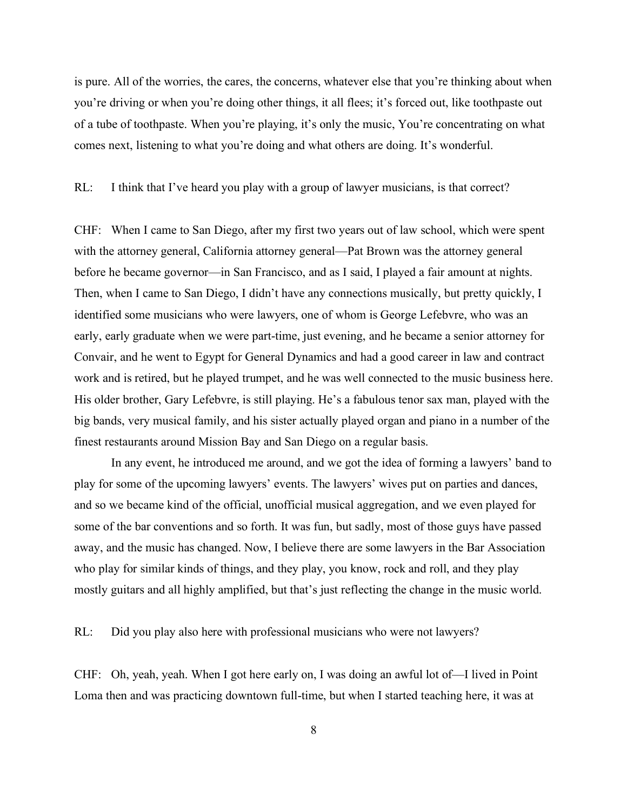is pure. All of the worries, the cares, the concerns, whatever else that you're thinking about when you're driving or when you're doing other things, it all flees; it's forced out, like toothpaste out of a tube of toothpaste. When you're playing, it's only the music, You're concentrating on what comes next, listening to what you're doing and what others are doing. It's wonderful.

RL: I think that I've heard you play with a group of lawyer musicians, is that correct?

CHF: When I came to San Diego, after my first two years out of law school, which were spent with the attorney general, California attorney general—Pat Brown was the attorney general before he became governor—in San Francisco, and as I said, I played a fair amount at nights. Then, when I came to San Diego, I didn't have any connections musically, but pretty quickly, I identified some musicians who were lawyers, one of whom is George Lefebvre, who was an early, early graduate when we were part-time, just evening, and he became a senior attorney for Convair, and he went to Egypt for General Dynamics and had a good career in law and contract work and is retired, but he played trumpet, and he was well connected to the music business here. His older brother, Gary Lefebvre, is still playing. He's a fabulous tenor sax man, played with the big bands, very musical family, and his sister actually played organ and piano in a number of the finest restaurants around Mission Bay and San Diego on a regular basis.

In any event, he introduced me around, and we got the idea of forming a lawyers' band to play for some of the upcoming lawyers' events. The lawyers' wives put on parties and dances, and so we became kind of the official, unofficial musical aggregation, and we even played for some of the bar conventions and so forth. It was fun, but sadly, most of those guys have passed away, and the music has changed. Now, I believe there are some lawyers in the Bar Association who play for similar kinds of things, and they play, you know, rock and roll, and they play mostly guitars and all highly amplified, but that's just reflecting the change in the music world.

RL: Did you play also here with professional musicians who were not lawyers?

CHF: Oh, yeah, yeah. When I got here early on, I was doing an awful lot of—I lived in Point Loma then and was practicing downtown full-time, but when I started teaching here, it was at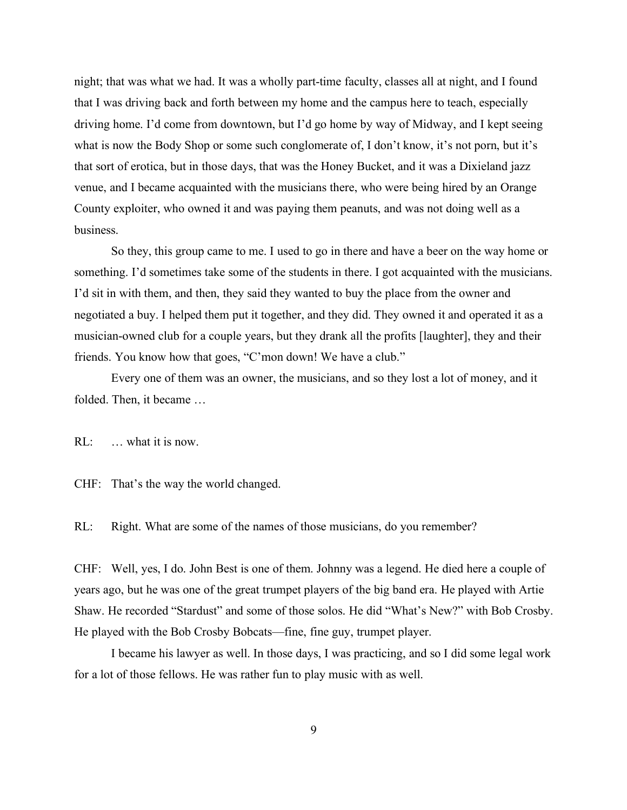night; that was what we had. It was a wholly part-time faculty, classes all at night, and I found that I was driving back and forth between my home and the campus here to teach, especially driving home. I'd come from downtown, but I'd go home by way of Midway, and I kept seeing what is now the Body Shop or some such conglomerate of, I don't know, it's not porn, but it's that sort of erotica, but in those days, that was the Honey Bucket, and it was a Dixieland jazz venue, and I became acquainted with the musicians there, who were being hired by an Orange County exploiter, who owned it and was paying them peanuts, and was not doing well as a business.

So they, this group came to me. I used to go in there and have a beer on the way home or something. I'd sometimes take some of the students in there. I got acquainted with the musicians. I'd sit in with them, and then, they said they wanted to buy the place from the owner and negotiated a buy. I helped them put it together, and they did. They owned it and operated it as a musician-owned club for a couple years, but they drank all the profits [laughter], they and their friends. You know how that goes, "C'mon down! We have a club."

Every one of them was an owner, the musicians, and so they lost a lot of money, and it folded. Then, it became …

RL: … what it is now.

CHF: That's the way the world changed.

RL: Right. What are some of the names of those musicians, do you remember?

CHF: Well, yes, I do. John Best is one of them. Johnny was a legend. He died here a couple of years ago, but he was one of the great trumpet players of the big band era. He played with Artie Shaw. He recorded "Stardust" and some of those solos. He did "What's New?" with Bob Crosby. He played with the Bob Crosby Bobcats—fine, fine guy, trumpet player.

I became his lawyer as well. In those days, I was practicing, and so I did some legal work for a lot of those fellows. He was rather fun to play music with as well.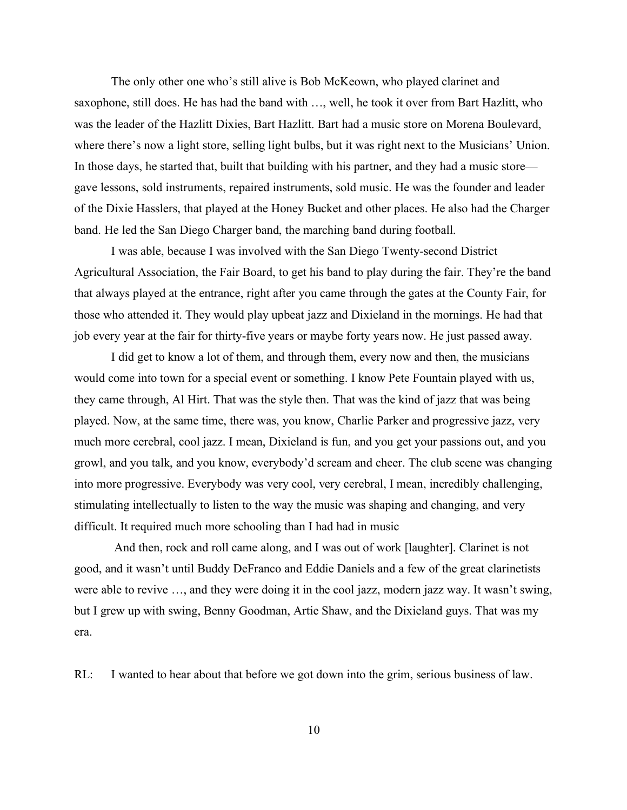The only other one who's still alive is Bob McKeown, who played clarinet and saxophone, still does. He has had the band with …, well, he took it over from Bart Hazlitt, who was the leader of the Hazlitt Dixies, Bart Hazlitt. Bart had a music store on Morena Boulevard, where there's now a light store, selling light bulbs, but it was right next to the Musicians' Union. In those days, he started that, built that building with his partner, and they had a music store gave lessons, sold instruments, repaired instruments, sold music. He was the founder and leader of the Dixie Hasslers, that played at the Honey Bucket and other places. He also had the Charger band. He led the San Diego Charger band, the marching band during football.

I was able, because I was involved with the San Diego Twenty-second District Agricultural Association, the Fair Board, to get his band to play during the fair. They're the band that always played at the entrance, right after you came through the gates at the County Fair, for those who attended it. They would play upbeat jazz and Dixieland in the mornings. He had that job every year at the fair for thirty-five years or maybe forty years now. He just passed away.

I did get to know a lot of them, and through them, every now and then, the musicians would come into town for a special event or something. I know Pete Fountain played with us, they came through, Al Hirt. That was the style then. That was the kind of jazz that was being played. Now, at the same time, there was, you know, Charlie Parker and progressive jazz, very much more cerebral, cool jazz. I mean, Dixieland is fun, and you get your passions out, and you growl, and you talk, and you know, everybody'd scream and cheer. The club scene was changing into more progressive. Everybody was very cool, very cerebral, I mean, incredibly challenging, stimulating intellectually to listen to the way the music was shaping and changing, and very difficult. It required much more schooling than I had had in music

And then, rock and roll came along, and I was out of work [laughter]. Clarinet is not good, and it wasn't until Buddy DeFranco and Eddie Daniels and a few of the great clarinetists were able to revive …, and they were doing it in the cool jazz, modern jazz way. It wasn't swing, but I grew up with swing, Benny Goodman, Artie Shaw, and the Dixieland guys. That was my era.

RL: I wanted to hear about that before we got down into the grim, serious business of law.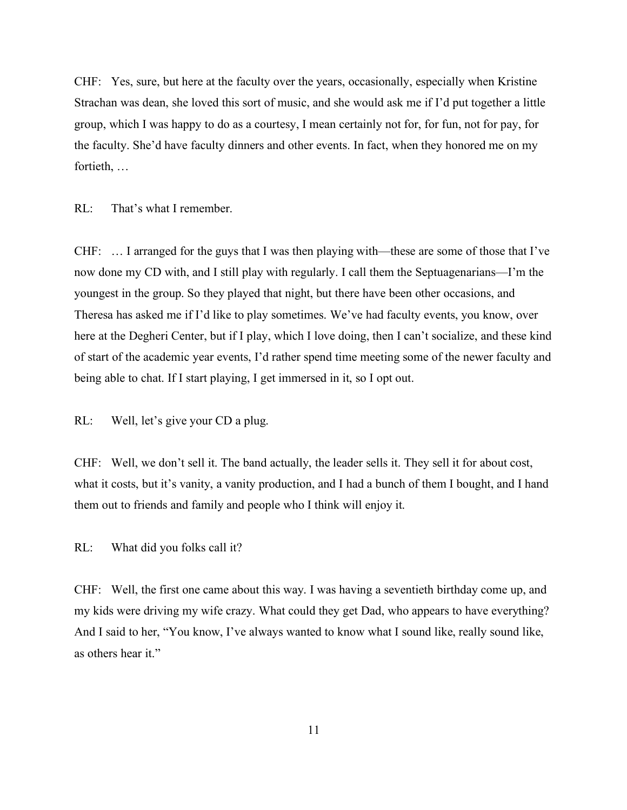CHF: Yes, sure, but here at the faculty over the years, occasionally, especially when Kristine Strachan was dean, she loved this sort of music, and she would ask me if I'd put together a little group, which I was happy to do as a courtesy, I mean certainly not for, for fun, not for pay, for the faculty. She'd have faculty dinners and other events. In fact, when they honored me on my fortieth, …

RL: That's what I remember.

CHF: … I arranged for the guys that I was then playing with—these are some of those that I've now done my CD with, and I still play with regularly. I call them the Septuagenarians—I'm the youngest in the group. So they played that night, but there have been other occasions, and Theresa has asked me if I'd like to play sometimes. We've had faculty events, you know, over here at the Degheri Center, but if I play, which I love doing, then I can't socialize, and these kind of start of the academic year events, I'd rather spend time meeting some of the newer faculty and being able to chat. If I start playing, I get immersed in it, so I opt out.

RL: Well, let's give your CD a plug.

CHF: Well, we don't sell it. The band actually, the leader sells it. They sell it for about cost, what it costs, but it's vanity, a vanity production, and I had a bunch of them I bought, and I hand them out to friends and family and people who I think will enjoy it.

RL: What did you folks call it?

CHF: Well, the first one came about this way. I was having a seventieth birthday come up, and my kids were driving my wife crazy. What could they get Dad, who appears to have everything? And I said to her, "You know, I've always wanted to know what I sound like, really sound like, as others hear it."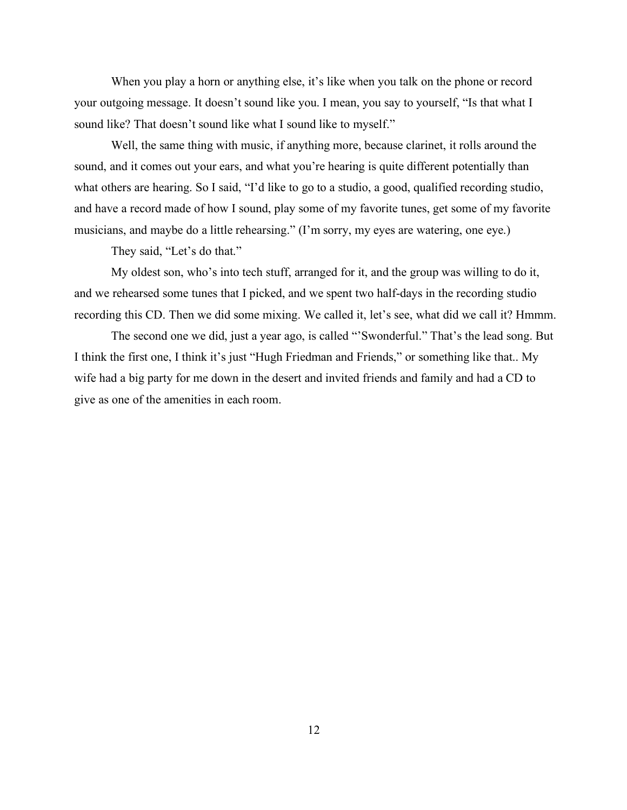When you play a horn or anything else, it's like when you talk on the phone or record your outgoing message. It doesn't sound like you. I mean, you say to yourself, "Is that what I sound like? That doesn't sound like what I sound like to myself."

Well, the same thing with music, if anything more, because clarinet, it rolls around the sound, and it comes out your ears, and what you're hearing is quite different potentially than what others are hearing. So I said, "I'd like to go to a studio, a good, qualified recording studio, and have a record made of how I sound, play some of my favorite tunes, get some of my favorite musicians, and maybe do a little rehearsing." (I'm sorry, my eyes are watering, one eye.)

They said, "Let's do that."

My oldest son, who's into tech stuff, arranged for it, and the group was willing to do it, and we rehearsed some tunes that I picked, and we spent two half-days in the recording studio recording this CD. Then we did some mixing. We called it, let's see, what did we call it? Hmmm.

The second one we did, just a year ago, is called "'Swonderful." That's the lead song. But I think the first one, I think it's just "Hugh Friedman and Friends," or something like that.. My wife had a big party for me down in the desert and invited friends and family and had a CD to give as one of the amenities in each room.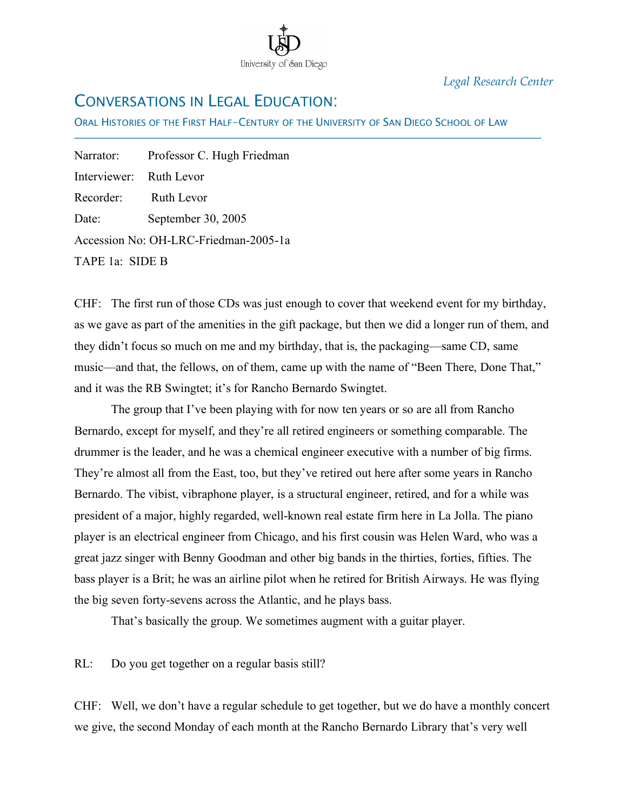

*Legal Research Center*

### CONVERSATIONS IN LEGAL EDUCATION:

ORAL HISTORIES OF THE FIRST HALF-CENTURY OF THE UNIVERSITY OF SAN DIEGO SCHOOL OF LAW

Narrator: Professor C. Hugh Friedman Interviewer: Ruth Levor Recorder: Ruth Levor Date: September 30, 2005 Accession No: OH-LRC-Friedman-2005-1a TAPE 1a: SIDE B

İ

CHF: The first run of those CDs was just enough to cover that weekend event for my birthday, as we gave as part of the amenities in the gift package, but then we did a longer run of them, and they didn't focus so much on me and my birthday, that is, the packaging—same CD, same music—and that, the fellows, on of them, came up with the name of "Been There, Done That," and it was the RB Swingtet; it's for Rancho Bernardo Swingtet.

The group that I've been playing with for now ten years or so are all from Rancho Bernardo, except for myself, and they're all retired engineers or something comparable. The drummer is the leader, and he was a chemical engineer executive with a number of big firms. They're almost all from the East, too, but they've retired out here after some years in Rancho Bernardo. The vibist, vibraphone player, is a structural engineer, retired, and for a while was president of a major, highly regarded, well-known real estate firm here in La Jolla. The piano player is an electrical engineer from Chicago, and his first cousin was Helen Ward, who was a great jazz singer with Benny Goodman and other big bands in the thirties, forties, fifties. The bass player is a Brit; he was an airline pilot when he retired for British Airways. He was flying the big seven forty-sevens across the Atlantic, and he plays bass.

That's basically the group. We sometimes augment with a guitar player.

RL: Do you get together on a regular basis still?

CHF: Well, we don't have a regular schedule to get together, but we do have a monthly concert we give, the second Monday of each month at the Rancho Bernardo Library that's very well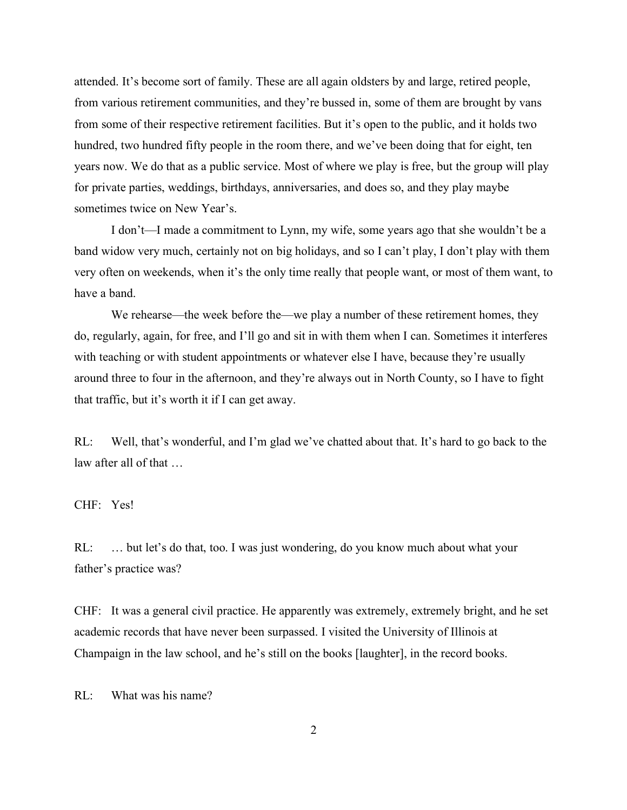attended. It's become sort of family. These are all again oldsters by and large, retired people, from various retirement communities, and they're bussed in, some of them are brought by vans from some of their respective retirement facilities. But it's open to the public, and it holds two hundred, two hundred fifty people in the room there, and we've been doing that for eight, ten years now. We do that as a public service. Most of where we play is free, but the group will play for private parties, weddings, birthdays, anniversaries, and does so, and they play maybe sometimes twice on New Year's.

I don't—I made a commitment to Lynn, my wife, some years ago that she wouldn't be a band widow very much, certainly not on big holidays, and so I can't play, I don't play with them very often on weekends, when it's the only time really that people want, or most of them want, to have a band.

We rehearse—the week before the—we play a number of these retirement homes, they do, regularly, again, for free, and I'll go and sit in with them when I can. Sometimes it interferes with teaching or with student appointments or whatever else I have, because they're usually around three to four in the afternoon, and they're always out in North County, so I have to fight that traffic, but it's worth it if I can get away.

RL: Well, that's wonderful, and I'm glad we've chatted about that. It's hard to go back to the law after all of that …

CHF: Yes!

RL: ... but let's do that, too. I was just wondering, do you know much about what your father's practice was?

CHF: It was a general civil practice. He apparently was extremely, extremely bright, and he set academic records that have never been surpassed. I visited the University of Illinois at Champaign in the law school, and he's still on the books [laughter], in the record books.

RL: What was his name?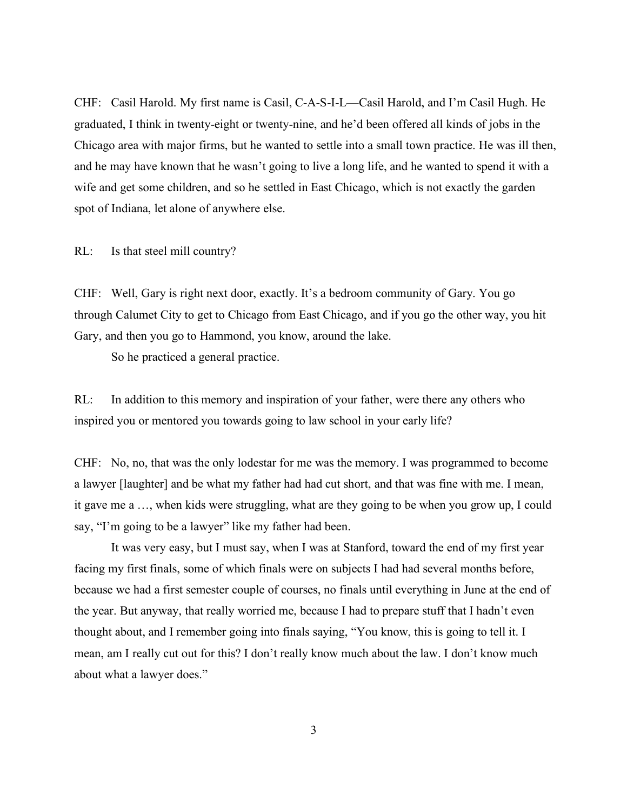CHF: Casil Harold. My first name is Casil, C-A-S-I-L—Casil Harold, and I'm Casil Hugh. He graduated, I think in twenty-eight or twenty-nine, and he'd been offered all kinds of jobs in the Chicago area with major firms, but he wanted to settle into a small town practice. He was ill then, and he may have known that he wasn't going to live a long life, and he wanted to spend it with a wife and get some children, and so he settled in East Chicago, which is not exactly the garden spot of Indiana, let alone of anywhere else.

RL: Is that steel mill country?

CHF: Well, Gary is right next door, exactly. It's a bedroom community of Gary. You go through Calumet City to get to Chicago from East Chicago, and if you go the other way, you hit Gary, and then you go to Hammond, you know, around the lake.

So he practiced a general practice.

RL: In addition to this memory and inspiration of your father, were there any others who inspired you or mentored you towards going to law school in your early life?

CHF: No, no, that was the only lodestar for me was the memory. I was programmed to become a lawyer [laughter] and be what my father had had cut short, and that was fine with me. I mean, it gave me a …, when kids were struggling, what are they going to be when you grow up, I could say, "I'm going to be a lawyer" like my father had been.

It was very easy, but I must say, when I was at Stanford, toward the end of my first year facing my first finals, some of which finals were on subjects I had had several months before, because we had a first semester couple of courses, no finals until everything in June at the end of the year. But anyway, that really worried me, because I had to prepare stuff that I hadn't even thought about, and I remember going into finals saying, "You know, this is going to tell it. I mean, am I really cut out for this? I don't really know much about the law. I don't know much about what a lawyer does."

3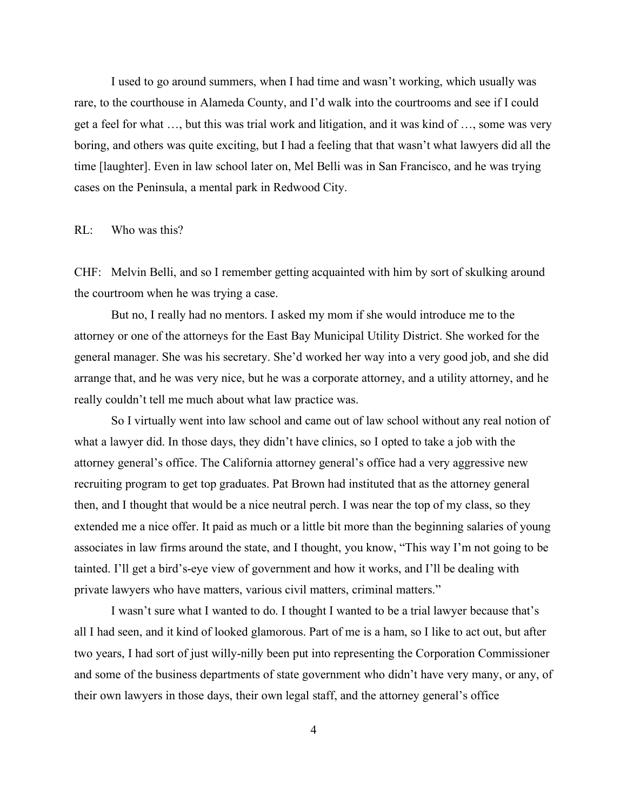I used to go around summers, when I had time and wasn't working, which usually was rare, to the courthouse in Alameda County, and I'd walk into the courtrooms and see if I could get a feel for what …, but this was trial work and litigation, and it was kind of …, some was very boring, and others was quite exciting, but I had a feeling that that wasn't what lawyers did all the time [laughter]. Even in law school later on, Mel Belli was in San Francisco, and he was trying cases on the Peninsula, a mental park in Redwood City.

#### RL: Who was this?

CHF: Melvin Belli, and so I remember getting acquainted with him by sort of skulking around the courtroom when he was trying a case.

But no, I really had no mentors. I asked my mom if she would introduce me to the attorney or one of the attorneys for the East Bay Municipal Utility District. She worked for the general manager. She was his secretary. She'd worked her way into a very good job, and she did arrange that, and he was very nice, but he was a corporate attorney, and a utility attorney, and he really couldn't tell me much about what law practice was.

So I virtually went into law school and came out of law school without any real notion of what a lawyer did. In those days, they didn't have clinics, so I opted to take a job with the attorney general's office. The California attorney general's office had a very aggressive new recruiting program to get top graduates. Pat Brown had instituted that as the attorney general then, and I thought that would be a nice neutral perch. I was near the top of my class, so they extended me a nice offer. It paid as much or a little bit more than the beginning salaries of young associates in law firms around the state, and I thought, you know, "This way I'm not going to be tainted. I'll get a bird's-eye view of government and how it works, and I'll be dealing with private lawyers who have matters, various civil matters, criminal matters."

I wasn't sure what I wanted to do. I thought I wanted to be a trial lawyer because that's all I had seen, and it kind of looked glamorous. Part of me is a ham, so I like to act out, but after two years, I had sort of just willy-nilly been put into representing the Corporation Commissioner and some of the business departments of state government who didn't have very many, or any, of their own lawyers in those days, their own legal staff, and the attorney general's office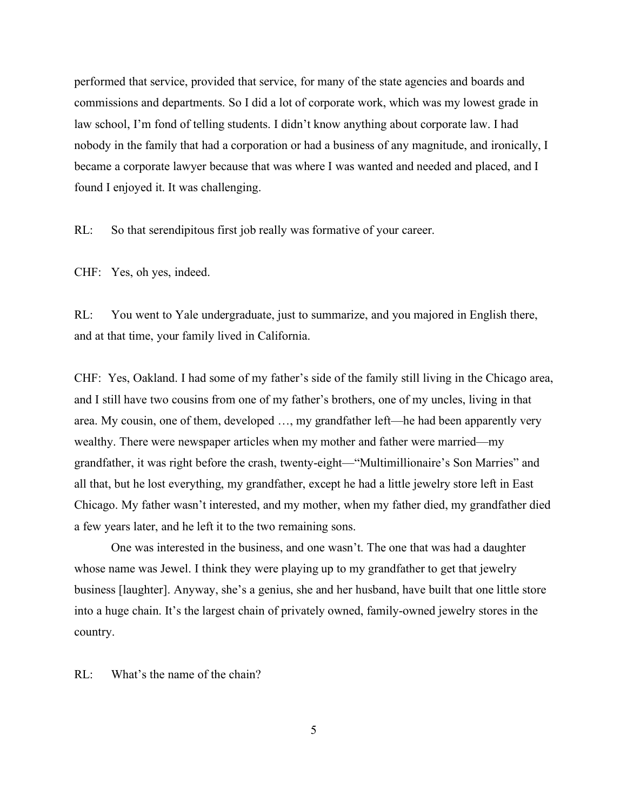performed that service, provided that service, for many of the state agencies and boards and commissions and departments. So I did a lot of corporate work, which was my lowest grade in law school, I'm fond of telling students. I didn't know anything about corporate law. I had nobody in the family that had a corporation or had a business of any magnitude, and ironically, I became a corporate lawyer because that was where I was wanted and needed and placed, and I found I enjoyed it. It was challenging.

RL: So that serendipitous first job really was formative of your career.

CHF: Yes, oh yes, indeed.

RL: You went to Yale undergraduate, just to summarize, and you majored in English there, and at that time, your family lived in California.

CHF: Yes, Oakland. I had some of my father's side of the family still living in the Chicago area, and I still have two cousins from one of my father's brothers, one of my uncles, living in that area. My cousin, one of them, developed …, my grandfather left—he had been apparently very wealthy. There were newspaper articles when my mother and father were married—my grandfather, it was right before the crash, twenty-eight—"Multimillionaire's Son Marries" and all that, but he lost everything, my grandfather, except he had a little jewelry store left in East Chicago. My father wasn't interested, and my mother, when my father died, my grandfather died a few years later, and he left it to the two remaining sons.

One was interested in the business, and one wasn't. The one that was had a daughter whose name was Jewel. I think they were playing up to my grandfather to get that jewelry business [laughter]. Anyway, she's a genius, she and her husband, have built that one little store into a huge chain. It's the largest chain of privately owned, family-owned jewelry stores in the country.

RL: What's the name of the chain?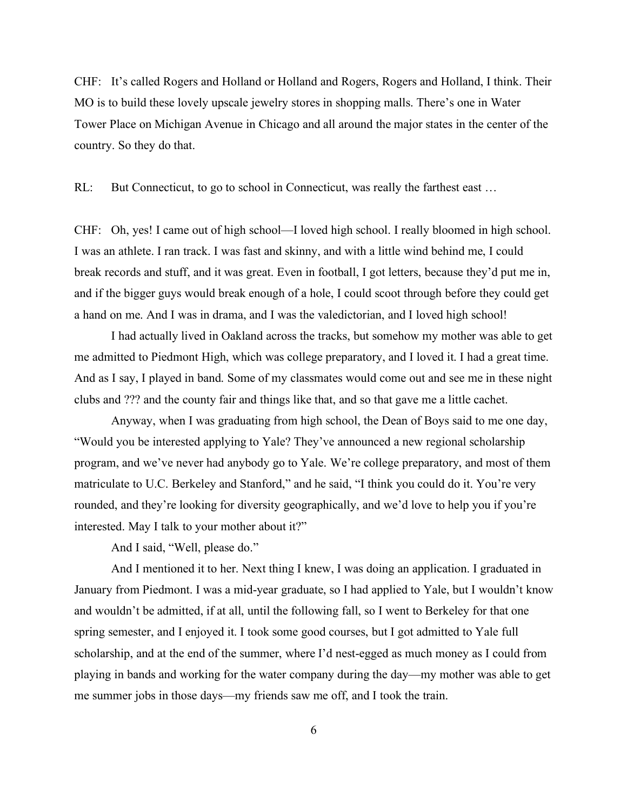CHF: It's called Rogers and Holland or Holland and Rogers, Rogers and Holland, I think. Their MO is to build these lovely upscale jewelry stores in shopping malls. There's one in Water Tower Place on Michigan Avenue in Chicago and all around the major states in the center of the country. So they do that.

RL: But Connecticut, to go to school in Connecticut, was really the farthest east ...

CHF: Oh, yes! I came out of high school—I loved high school. I really bloomed in high school. I was an athlete. I ran track. I was fast and skinny, and with a little wind behind me, I could break records and stuff, and it was great. Even in football, I got letters, because they'd put me in, and if the bigger guys would break enough of a hole, I could scoot through before they could get a hand on me. And I was in drama, and I was the valedictorian, and I loved high school!

I had actually lived in Oakland across the tracks, but somehow my mother was able to get me admitted to Piedmont High, which was college preparatory, and I loved it. I had a great time. And as I say, I played in band. Some of my classmates would come out and see me in these night clubs and ??? and the county fair and things like that, and so that gave me a little cachet.

Anyway, when I was graduating from high school, the Dean of Boys said to me one day, "Would you be interested applying to Yale? They've announced a new regional scholarship program, and we've never had anybody go to Yale. We're college preparatory, and most of them matriculate to U.C. Berkeley and Stanford," and he said, "I think you could do it. You're very rounded, and they're looking for diversity geographically, and we'd love to help you if you're interested. May I talk to your mother about it?"

And I said, "Well, please do."

And I mentioned it to her. Next thing I knew, I was doing an application. I graduated in January from Piedmont. I was a mid-year graduate, so I had applied to Yale, but I wouldn't know and wouldn't be admitted, if at all, until the following fall, so I went to Berkeley for that one spring semester, and I enjoyed it. I took some good courses, but I got admitted to Yale full scholarship, and at the end of the summer, where I'd nest-egged as much money as I could from playing in bands and working for the water company during the day—my mother was able to get me summer jobs in those days—my friends saw me off, and I took the train.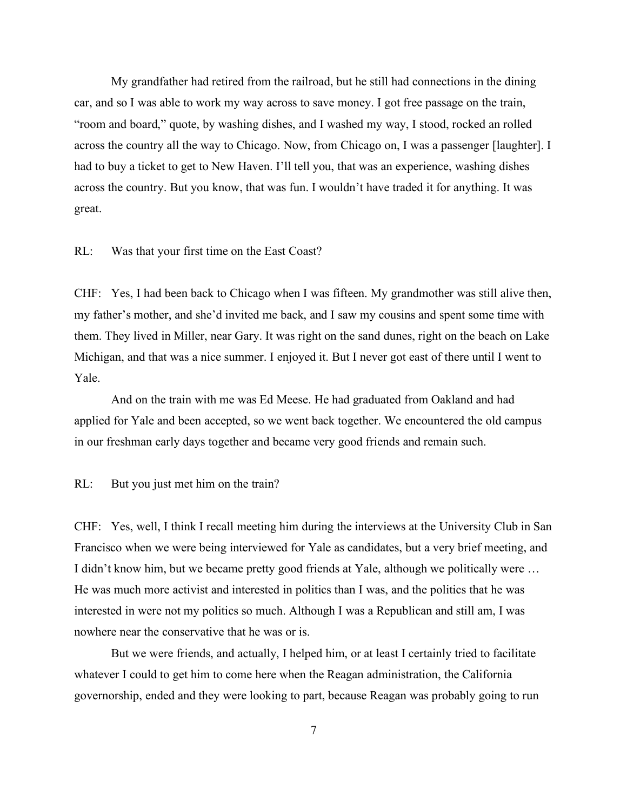My grandfather had retired from the railroad, but he still had connections in the dining car, and so I was able to work my way across to save money. I got free passage on the train, "room and board," quote, by washing dishes, and I washed my way, I stood, rocked an rolled across the country all the way to Chicago. Now, from Chicago on, I was a passenger [laughter]. I had to buy a ticket to get to New Haven. I'll tell you, that was an experience, washing dishes across the country. But you know, that was fun. I wouldn't have traded it for anything. It was great.

#### RL: Was that your first time on the East Coast?

CHF: Yes, I had been back to Chicago when I was fifteen. My grandmother was still alive then, my father's mother, and she'd invited me back, and I saw my cousins and spent some time with them. They lived in Miller, near Gary. It was right on the sand dunes, right on the beach on Lake Michigan, and that was a nice summer. I enjoyed it. But I never got east of there until I went to Yale.

And on the train with me was Ed Meese. He had graduated from Oakland and had applied for Yale and been accepted, so we went back together. We encountered the old campus in our freshman early days together and became very good friends and remain such.

RL: But you just met him on the train?

CHF: Yes, well, I think I recall meeting him during the interviews at the University Club in San Francisco when we were being interviewed for Yale as candidates, but a very brief meeting, and I didn't know him, but we became pretty good friends at Yale, although we politically were … He was much more activist and interested in politics than I was, and the politics that he was interested in were not my politics so much. Although I was a Republican and still am, I was nowhere near the conservative that he was or is.

But we were friends, and actually, I helped him, or at least I certainly tried to facilitate whatever I could to get him to come here when the Reagan administration, the California governorship, ended and they were looking to part, because Reagan was probably going to run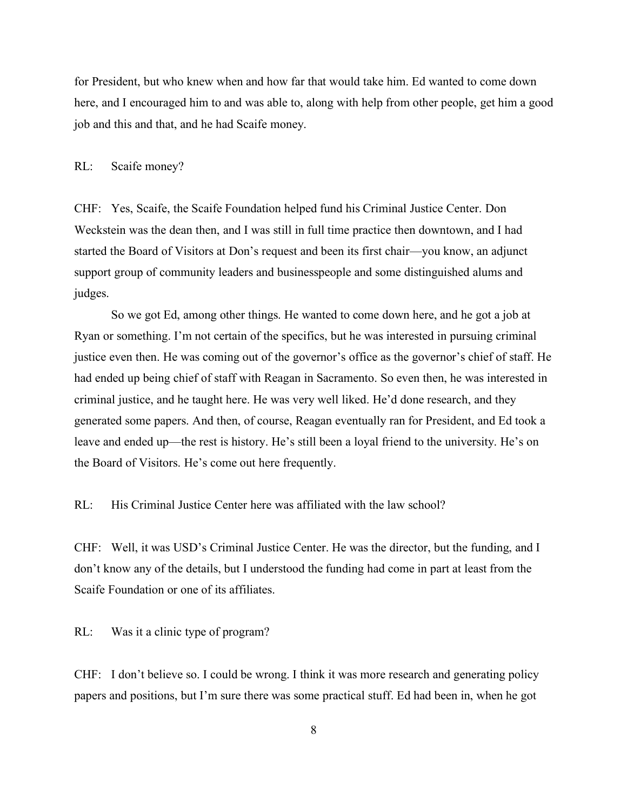for President, but who knew when and how far that would take him. Ed wanted to come down here, and I encouraged him to and was able to, along with help from other people, get him a good job and this and that, and he had Scaife money.

RL: Scaife money?

CHF: Yes, Scaife, the Scaife Foundation helped fund his Criminal Justice Center. Don Weckstein was the dean then, and I was still in full time practice then downtown, and I had started the Board of Visitors at Don's request and been its first chair—you know, an adjunct support group of community leaders and businesspeople and some distinguished alums and judges.

So we got Ed, among other things. He wanted to come down here, and he got a job at Ryan or something. I'm not certain of the specifics, but he was interested in pursuing criminal justice even then. He was coming out of the governor's office as the governor's chief of staff. He had ended up being chief of staff with Reagan in Sacramento. So even then, he was interested in criminal justice, and he taught here. He was very well liked. He'd done research, and they generated some papers. And then, of course, Reagan eventually ran for President, and Ed took a leave and ended up—the rest is history. He's still been a loyal friend to the university. He's on the Board of Visitors. He's come out here frequently.

RL: His Criminal Justice Center here was affiliated with the law school?

CHF: Well, it was USD's Criminal Justice Center. He was the director, but the funding, and I don't know any of the details, but I understood the funding had come in part at least from the Scaife Foundation or one of its affiliates.

RL: Was it a clinic type of program?

CHF: I don't believe so. I could be wrong. I think it was more research and generating policy papers and positions, but I'm sure there was some practical stuff. Ed had been in, when he got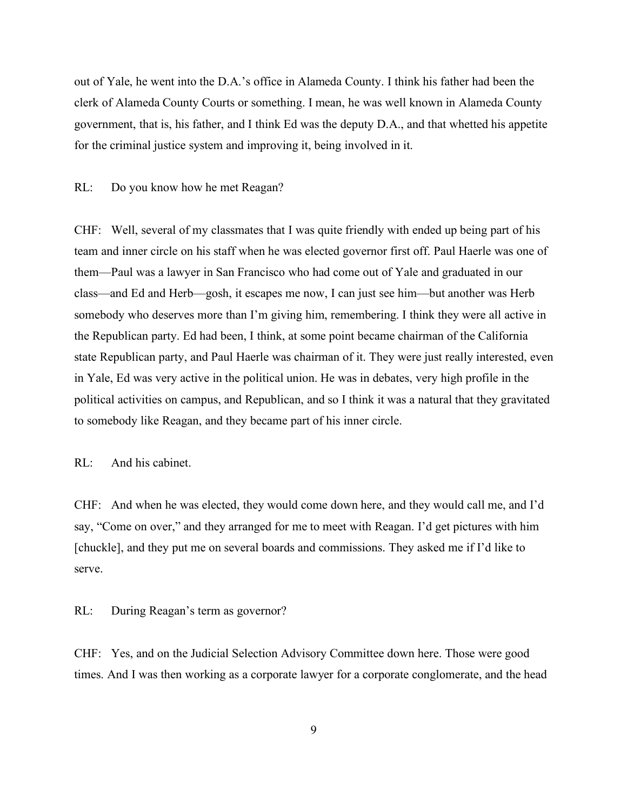out of Yale, he went into the D.A.'s office in Alameda County. I think his father had been the clerk of Alameda County Courts or something. I mean, he was well known in Alameda County government, that is, his father, and I think Ed was the deputy D.A., and that whetted his appetite for the criminal justice system and improving it, being involved in it.

RL: Do you know how he met Reagan?

CHF: Well, several of my classmates that I was quite friendly with ended up being part of his team and inner circle on his staff when he was elected governor first off. Paul Haerle was one of them—Paul was a lawyer in San Francisco who had come out of Yale and graduated in our class—and Ed and Herb—gosh, it escapes me now, I can just see him—but another was Herb somebody who deserves more than I'm giving him, remembering. I think they were all active in the Republican party. Ed had been, I think, at some point became chairman of the California state Republican party, and Paul Haerle was chairman of it. They were just really interested, even in Yale, Ed was very active in the political union. He was in debates, very high profile in the political activities on campus, and Republican, and so I think it was a natural that they gravitated to somebody like Reagan, and they became part of his inner circle.

RL: And his cabinet.

CHF: And when he was elected, they would come down here, and they would call me, and I'd say, "Come on over," and they arranged for me to meet with Reagan. I'd get pictures with him [chuckle], and they put me on several boards and commissions. They asked me if I'd like to serve.

RL: During Reagan's term as governor?

CHF: Yes, and on the Judicial Selection Advisory Committee down here. Those were good times. And I was then working as a corporate lawyer for a corporate conglomerate, and the head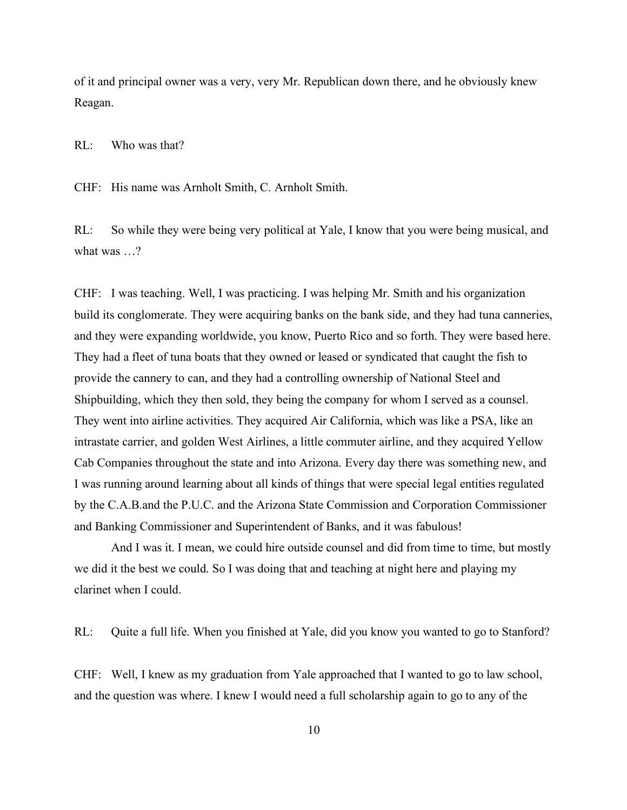of it and principal owner was a very, very Mr. Republican down there, and he obviously knew Reagan.

RL: Who was that?

CHF: His name was Arnholt Smith, C. Arnholt Smith.

RL: So while they were being very political at Yale, I know that you were being musical, and what was ...?

CHF: I was teaching. Well, I was practicing. I was helping Mr. Smith and his organization build its conglomerate. They were acquiring banks on the bank side, and they had tuna canneries, and they were expanding worldwide, you know, Puerto Rico and so forth. They were based here. They had a fleet of tuna boats that they owned or leased or syndicated that caught the fish to provide the cannery to can, and they had a controlling ownership of National Steel and Shipbuilding, which they then sold, they being the company for whom I served as a counsel. They went into airline activities. They acquired Air California, which was like a PSA, like an intrastate carrier, and golden West Airlines, a little commuter airline, and they acquired Yellow Cab Companies throughout the state and into Arizona. Every day there was something new, and I was running around learning about all kinds of things that were special legal entities regulated by the C.A.B.and the P.U.C. and the Arizona State Commission and Corporation Commissioner and Banking Commissioner and Superintendent of Banks, and it was fabulous!

And I was it. I mean, we could hire outside counsel and did from time to time, but mostly we did it the best we could. So I was doing that and teaching at night here and playing my clarinet when I could.

RL: Quite a full life. When you finished at Yale, did you know you wanted to go to Stanford?

CHF: Well, I knew as my graduation from Yale approached that I wanted to go to law school, and the question was where. I knew I would need a full scholarship again to go to any of the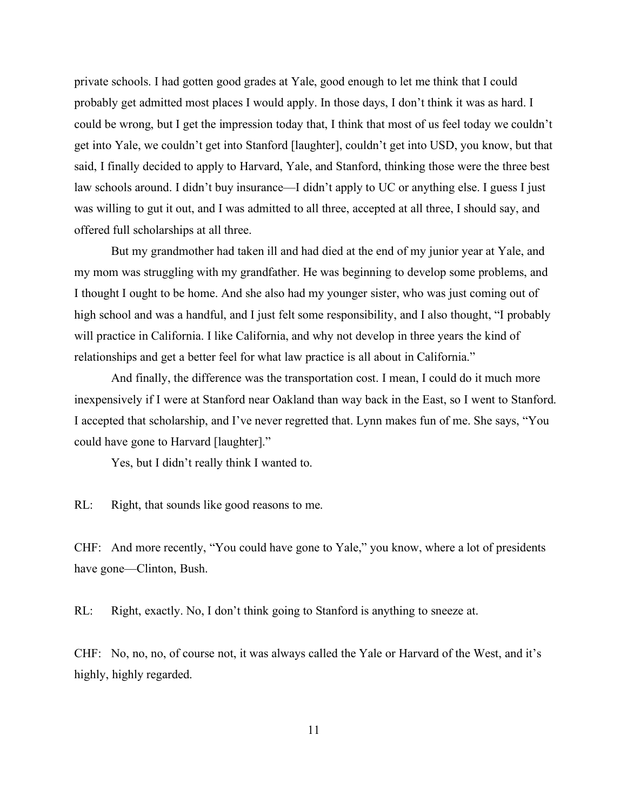private schools. I had gotten good grades at Yale, good enough to let me think that I could probably get admitted most places I would apply. In those days, I don't think it was as hard. I could be wrong, but I get the impression today that, I think that most of us feel today we couldn't get into Yale, we couldn't get into Stanford [laughter], couldn't get into USD, you know, but that said, I finally decided to apply to Harvard, Yale, and Stanford, thinking those were the three best law schools around. I didn't buy insurance—I didn't apply to UC or anything else. I guess I just was willing to gut it out, and I was admitted to all three, accepted at all three, I should say, and offered full scholarships at all three.

But my grandmother had taken ill and had died at the end of my junior year at Yale, and my mom was struggling with my grandfather. He was beginning to develop some problems, and I thought I ought to be home. And she also had my younger sister, who was just coming out of high school and was a handful, and I just felt some responsibility, and I also thought, "I probably will practice in California. I like California, and why not develop in three years the kind of relationships and get a better feel for what law practice is all about in California."

And finally, the difference was the transportation cost. I mean, I could do it much more inexpensively if I were at Stanford near Oakland than way back in the East, so I went to Stanford. I accepted that scholarship, and I've never regretted that. Lynn makes fun of me. She says, "You could have gone to Harvard [laughter]."

Yes, but I didn't really think I wanted to.

RL: Right, that sounds like good reasons to me.

CHF: And more recently, "You could have gone to Yale," you know, where a lot of presidents have gone—Clinton, Bush.

RL: Right, exactly. No, I don't think going to Stanford is anything to sneeze at.

CHF: No, no, no, of course not, it was always called the Yale or Harvard of the West, and it's highly, highly regarded.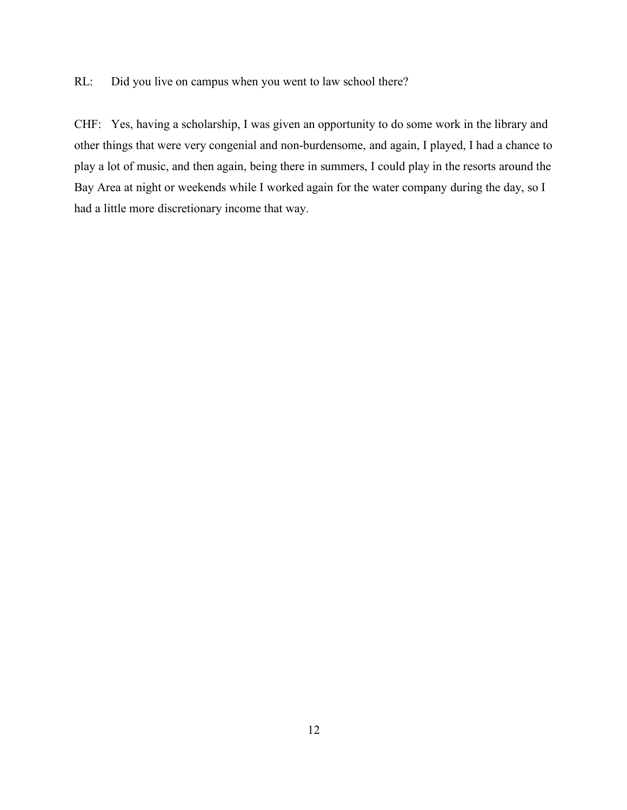RL: Did you live on campus when you went to law school there?

CHF: Yes, having a scholarship, I was given an opportunity to do some work in the library and other things that were very congenial and non-burdensome, and again, I played, I had a chance to play a lot of music, and then again, being there in summers, I could play in the resorts around the Bay Area at night or weekends while I worked again for the water company during the day, so I had a little more discretionary income that way.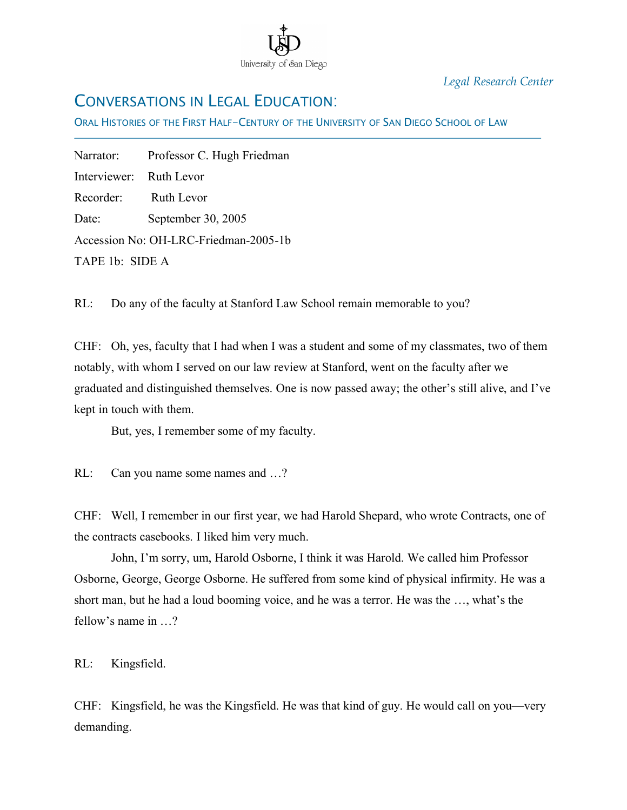

*Legal Research Center*

## CONVERSATIONS IN LEGAL EDUCATION:

ORAL HISTORIES OF THE FIRST HALF-CENTURY OF THE UNIVERSITY OF SAN DIEGO SCHOOL OF LAW

Narrator: Professor C. Hugh Friedman Interviewer: Ruth Levor Recorder: Ruth Levor Date: September 30, 2005 Accession No: OH-LRC-Friedman-2005-1b TAPE 1b: SIDE A

İ

RL: Do any of the faculty at Stanford Law School remain memorable to you?

CHF: Oh, yes, faculty that I had when I was a student and some of my classmates, two of them notably, with whom I served on our law review at Stanford, went on the faculty after we graduated and distinguished themselves. One is now passed away; the other's still alive, and I've kept in touch with them.

But, yes, I remember some of my faculty.

RL: Can you name some names and ...?

CHF: Well, I remember in our first year, we had Harold Shepard, who wrote Contracts, one of the contracts casebooks. I liked him very much.

John, I'm sorry, um, Harold Osborne, I think it was Harold. We called him Professor Osborne, George, George Osborne. He suffered from some kind of physical infirmity. He was a short man, but he had a loud booming voice, and he was a terror. He was the …, what's the fellow's name in  $\gamma$ 

RL: Kingsfield.

CHF: Kingsfield, he was the Kingsfield. He was that kind of guy. He would call on you—very demanding.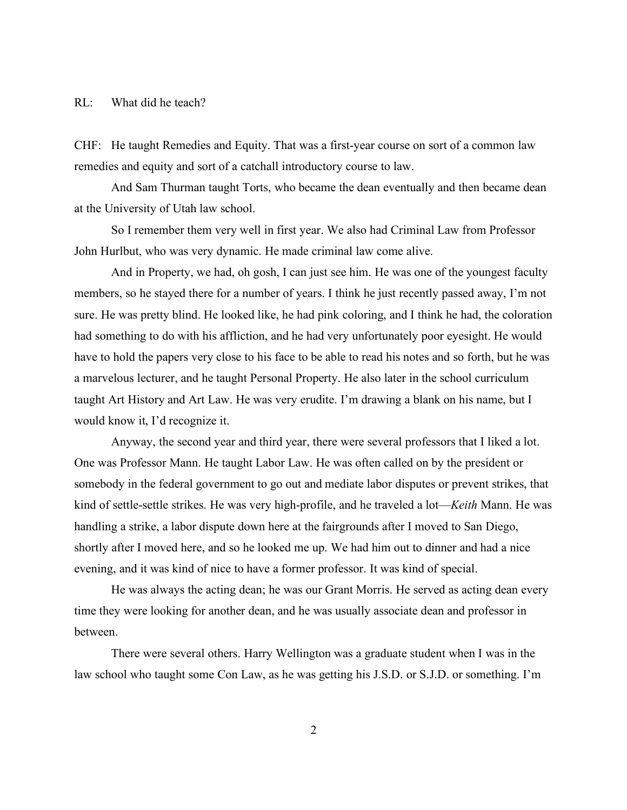#### RL: What did he teach?

CHF: He taught Remedies and Equity. That was a first-year course on sort of a common law remedies and equity and sort of a catchall introductory course to law.

And Sam Thurman taught Torts, who became the dean eventually and then became dean at the University of Utah law school.

So I remember them very well in first year. We also had Criminal Law from Professor John Hurlbut, who was very dynamic. He made criminal law come alive.

And in Property, we had, oh gosh, I can just see him. He was one of the youngest faculty members, so he stayed there for a number of years. I think he just recently passed away, I'm not sure. He was pretty blind. He looked like, he had pink coloring, and I think he had, the coloration had something to do with his affliction, and he had very unfortunately poor eyesight. He would have to hold the papers very close to his face to be able to read his notes and so forth, but he was a marvelous lecturer, and he taught Personal Property. He also later in the school curriculum taught Art History and Art Law. He was very erudite. I'm drawing a blank on his name, but I would know it, I'd recognize it.

Anyway, the second year and third year, there were several professors that I liked a lot. One was Professor Mann. He taught Labor Law. He was often called on by the president or somebody in the federal government to go out and mediate labor disputes or prevent strikes, that kind of settle-settle strikes. He was very high-profile, and he traveled a lot—*Keith* Mann. He was handling a strike, a labor dispute down here at the fairgrounds after I moved to San Diego, shortly after I moved here, and so he looked me up. We had him out to dinner and had a nice evening, and it was kind of nice to have a former professor. It was kind of special.

He was always the acting dean; he was our Grant Morris. He served as acting dean every time they were looking for another dean, and he was usually associate dean and professor in between.

There were several others. Harry Wellington was a graduate student when I was in the law school who taught some Con Law, as he was getting his J.S.D. or S.J.D. or something. I'm

2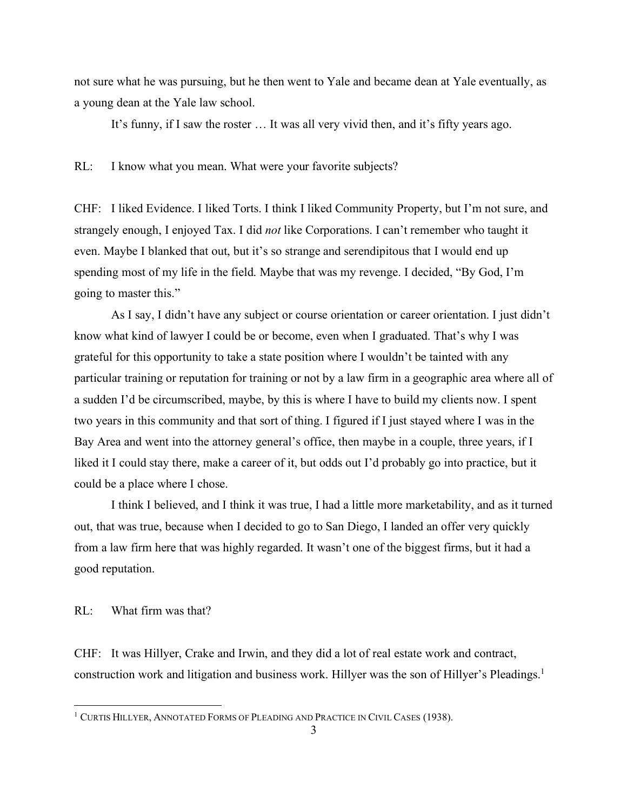not sure what he was pursuing, but he then went to Yale and became dean at Yale eventually, as a young dean at the Yale law school.

It's funny, if I saw the roster … It was all very vivid then, and it's fifty years ago.

RL: I know what you mean. What were your favorite subjects?

CHF: I liked Evidence. I liked Torts. I think I liked Community Property, but I'm not sure, and strangely enough, I enjoyed Tax. I did *not* like Corporations. I can't remember who taught it even. Maybe I blanked that out, but it's so strange and serendipitous that I would end up spending most of my life in the field. Maybe that was my revenge. I decided, "By God, I'm going to master this."

As I say, I didn't have any subject or course orientation or career orientation. I just didn't know what kind of lawyer I could be or become, even when I graduated. That's why I was grateful for this opportunity to take a state position where I wouldn't be tainted with any particular training or reputation for training or not by a law firm in a geographic area where all of a sudden I'd be circumscribed, maybe, by this is where I have to build my clients now. I spent two years in this community and that sort of thing. I figured if I just stayed where I was in the Bay Area and went into the attorney general's office, then maybe in a couple, three years, if I liked it I could stay there, make a career of it, but odds out I'd probably go into practice, but it could be a place where I chose.

I think I believed, and I think it was true, I had a little more marketability, and as it turned out, that was true, because when I decided to go to San Diego, I landed an offer very quickly from a law firm here that was highly regarded. It wasn't one of the biggest firms, but it had a good reputation.

RL: What firm was that?

CHF: It was Hillyer, Crake and Irwin, and they did a lot of real estate work and contract, construction work and litigation and business work. Hillyer was the son of Hillyer's Pleadings.<sup>1</sup>

<sup>&</sup>lt;sup>1</sup> CURTIS HILLYER, ANNOTATED FORMS OF PLEADING AND PRACTICE IN CIVIL CASES (1938).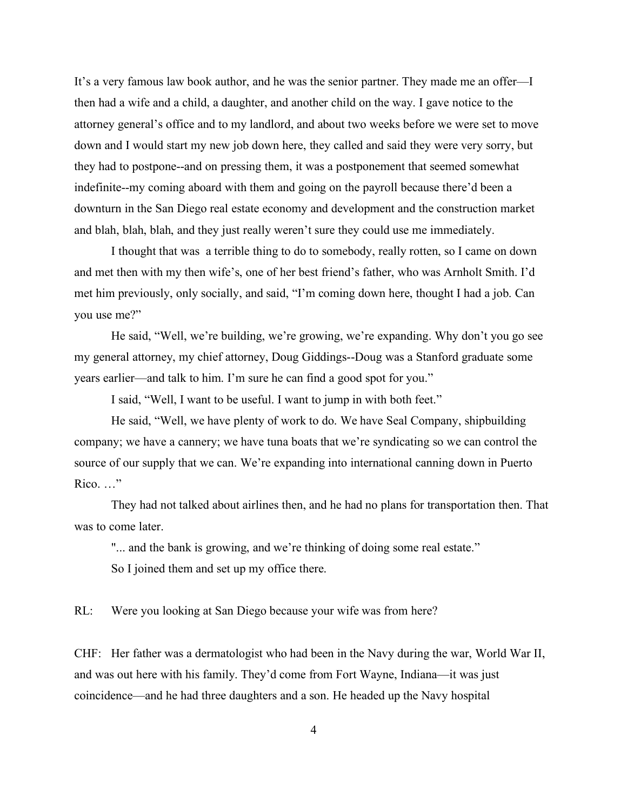It's a very famous law book author, and he was the senior partner. They made me an offer—I then had a wife and a child, a daughter, and another child on the way. I gave notice to the attorney general's office and to my landlord, and about two weeks before we were set to move down and I would start my new job down here, they called and said they were very sorry, but they had to postpone--and on pressing them, it was a postponement that seemed somewhat indefinite--my coming aboard with them and going on the payroll because there'd been a downturn in the San Diego real estate economy and development and the construction market and blah, blah, blah, and they just really weren't sure they could use me immediately.

I thought that was a terrible thing to do to somebody, really rotten, so I came on down and met then with my then wife's, one of her best friend's father, who was Arnholt Smith. I'd met him previously, only socially, and said, "I'm coming down here, thought I had a job. Can you use me?"

He said, "Well, we're building, we're growing, we're expanding. Why don't you go see my general attorney, my chief attorney, Doug Giddings--Doug was a Stanford graduate some years earlier—and talk to him. I'm sure he can find a good spot for you."

I said, "Well, I want to be useful. I want to jump in with both feet."

He said, "Well, we have plenty of work to do. We have Seal Company, shipbuilding company; we have a cannery; we have tuna boats that we're syndicating so we can control the source of our supply that we can. We're expanding into international canning down in Puerto Rico. …"

They had not talked about airlines then, and he had no plans for transportation then. That was to come later.

"... and the bank is growing, and we're thinking of doing some real estate." So I joined them and set up my office there.

RL: Were you looking at San Diego because your wife was from here?

CHF: Her father was a dermatologist who had been in the Navy during the war, World War II, and was out here with his family. They'd come from Fort Wayne, Indiana—it was just coincidence—and he had three daughters and a son. He headed up the Navy hospital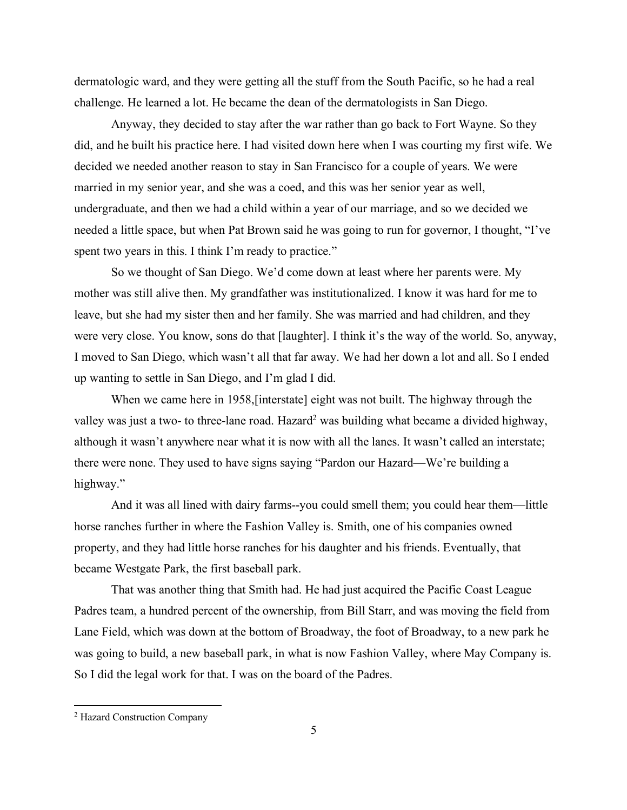dermatologic ward, and they were getting all the stuff from the South Pacific, so he had a real challenge. He learned a lot. He became the dean of the dermatologists in San Diego.

Anyway, they decided to stay after the war rather than go back to Fort Wayne. So they did, and he built his practice here. I had visited down here when I was courting my first wife. We decided we needed another reason to stay in San Francisco for a couple of years. We were married in my senior year, and she was a coed, and this was her senior year as well, undergraduate, and then we had a child within a year of our marriage, and so we decided we needed a little space, but when Pat Brown said he was going to run for governor, I thought, "I've spent two years in this. I think I'm ready to practice."

So we thought of San Diego. We'd come down at least where her parents were. My mother was still alive then. My grandfather was institutionalized. I know it was hard for me to leave, but she had my sister then and her family. She was married and had children, and they were very close. You know, sons do that [laughter]. I think it's the way of the world. So, anyway, I moved to San Diego, which wasn't all that far away. We had her down a lot and all. So I ended up wanting to settle in San Diego, and I'm glad I did.

When we came here in 1958,[interstate] eight was not built. The highway through the valley was just a two- to three-lane road. Hazard<sup>2</sup> was building what became a divided highway, although it wasn't anywhere near what it is now with all the lanes. It wasn't called an interstate; there were none. They used to have signs saying "Pardon our Hazard—We're building a highway."

And it was all lined with dairy farms--you could smell them; you could hear them—little horse ranches further in where the Fashion Valley is. Smith, one of his companies owned property, and they had little horse ranches for his daughter and his friends. Eventually, that became Westgate Park, the first baseball park.

That was another thing that Smith had. He had just acquired the Pacific Coast League Padres team, a hundred percent of the ownership, from Bill Starr, and was moving the field from Lane Field, which was down at the bottom of Broadway, the foot of Broadway, to a new park he was going to build, a new baseball park, in what is now Fashion Valley, where May Company is. So I did the legal work for that. I was on the board of the Padres.

 <sup>2</sup> Hazard Construction Company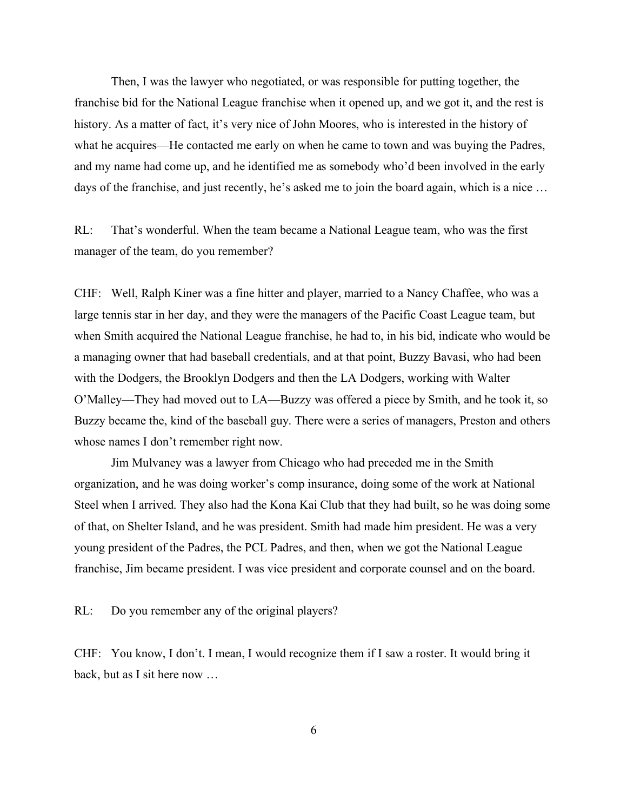Then, I was the lawyer who negotiated, or was responsible for putting together, the franchise bid for the National League franchise when it opened up, and we got it, and the rest is history. As a matter of fact, it's very nice of John Moores, who is interested in the history of what he acquires—He contacted me early on when he came to town and was buying the Padres, and my name had come up, and he identified me as somebody who'd been involved in the early days of the franchise, and just recently, he's asked me to join the board again, which is a nice …

RL: That's wonderful. When the team became a National League team, who was the first manager of the team, do you remember?

CHF: Well, Ralph Kiner was a fine hitter and player, married to a Nancy Chaffee, who was a large tennis star in her day, and they were the managers of the Pacific Coast League team, but when Smith acquired the National League franchise, he had to, in his bid, indicate who would be a managing owner that had baseball credentials, and at that point, Buzzy Bavasi, who had been with the Dodgers, the Brooklyn Dodgers and then the LA Dodgers, working with Walter O'Malley—They had moved out to LA—Buzzy was offered a piece by Smith, and he took it, so Buzzy became the, kind of the baseball guy. There were a series of managers, Preston and others whose names I don't remember right now.

Jim Mulvaney was a lawyer from Chicago who had preceded me in the Smith organization, and he was doing worker's comp insurance, doing some of the work at National Steel when I arrived. They also had the Kona Kai Club that they had built, so he was doing some of that, on Shelter Island, and he was president. Smith had made him president. He was a very young president of the Padres, the PCL Padres, and then, when we got the National League franchise, Jim became president. I was vice president and corporate counsel and on the board.

RL: Do you remember any of the original players?

CHF: You know, I don't. I mean, I would recognize them if I saw a roster. It would bring it back, but as I sit here now …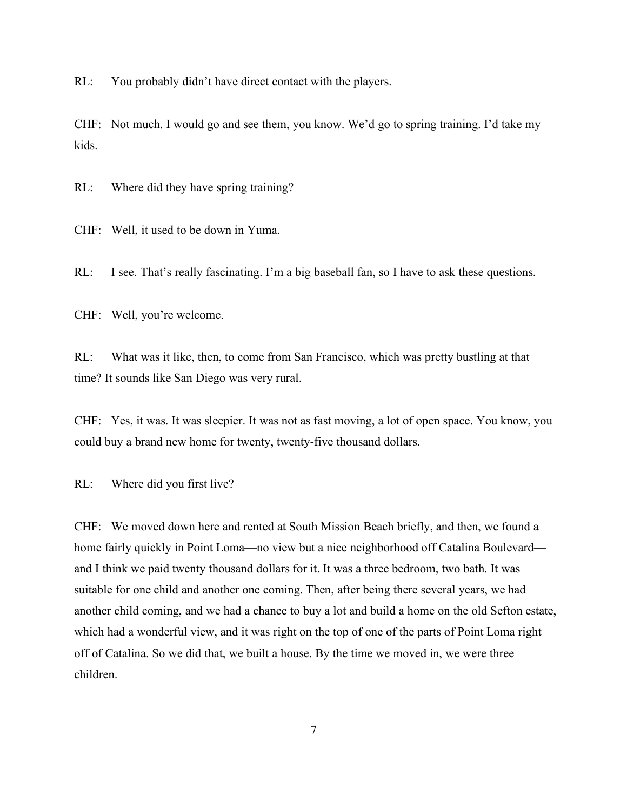RL: You probably didn't have direct contact with the players.

CHF: Not much. I would go and see them, you know. We'd go to spring training. I'd take my kids.

RL: Where did they have spring training?

CHF: Well, it used to be down in Yuma.

RL: I see. That's really fascinating. I'm a big baseball fan, so I have to ask these questions.

CHF: Well, you're welcome.

RL: What was it like, then, to come from San Francisco, which was pretty bustling at that time? It sounds like San Diego was very rural.

CHF: Yes, it was. It was sleepier. It was not as fast moving, a lot of open space. You know, you could buy a brand new home for twenty, twenty-five thousand dollars.

RL: Where did you first live?

CHF: We moved down here and rented at South Mission Beach briefly, and then, we found a home fairly quickly in Point Loma—no view but a nice neighborhood off Catalina Boulevard and I think we paid twenty thousand dollars for it. It was a three bedroom, two bath. It was suitable for one child and another one coming. Then, after being there several years, we had another child coming, and we had a chance to buy a lot and build a home on the old Sefton estate, which had a wonderful view, and it was right on the top of one of the parts of Point Loma right off of Catalina. So we did that, we built a house. By the time we moved in, we were three children.

7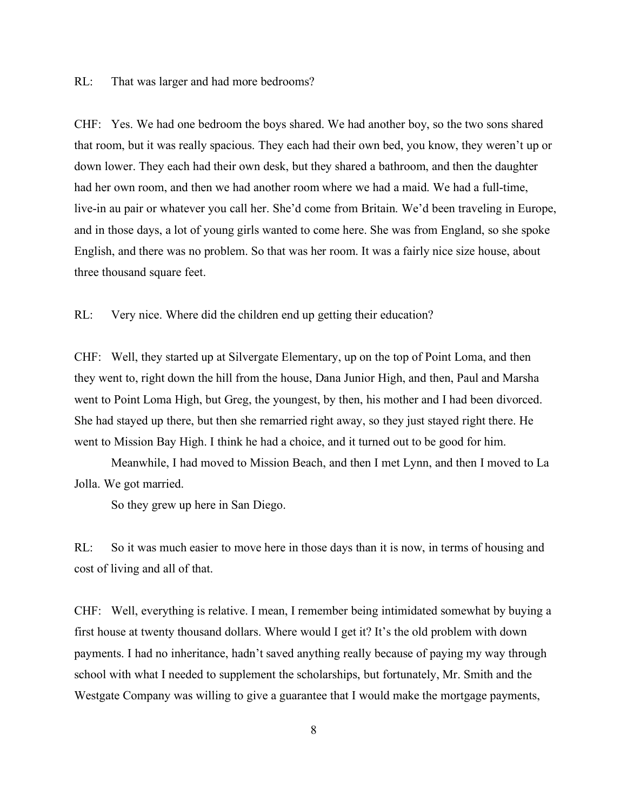RL: That was larger and had more bedrooms?

CHF: Yes. We had one bedroom the boys shared. We had another boy, so the two sons shared that room, but it was really spacious. They each had their own bed, you know, they weren't up or down lower. They each had their own desk, but they shared a bathroom, and then the daughter had her own room, and then we had another room where we had a maid. We had a full-time, live-in au pair or whatever you call her. She'd come from Britain. We'd been traveling in Europe, and in those days, a lot of young girls wanted to come here. She was from England, so she spoke English, and there was no problem. So that was her room. It was a fairly nice size house, about three thousand square feet.

RL: Very nice. Where did the children end up getting their education?

CHF: Well, they started up at Silvergate Elementary, up on the top of Point Loma, and then they went to, right down the hill from the house, Dana Junior High, and then, Paul and Marsha went to Point Loma High, but Greg, the youngest, by then, his mother and I had been divorced. She had stayed up there, but then she remarried right away, so they just stayed right there. He went to Mission Bay High. I think he had a choice, and it turned out to be good for him.

Meanwhile, I had moved to Mission Beach, and then I met Lynn, and then I moved to La Jolla. We got married.

So they grew up here in San Diego.

RL: So it was much easier to move here in those days than it is now, in terms of housing and cost of living and all of that.

CHF: Well, everything is relative. I mean, I remember being intimidated somewhat by buying a first house at twenty thousand dollars. Where would I get it? It's the old problem with down payments. I had no inheritance, hadn't saved anything really because of paying my way through school with what I needed to supplement the scholarships, but fortunately, Mr. Smith and the Westgate Company was willing to give a guarantee that I would make the mortgage payments,